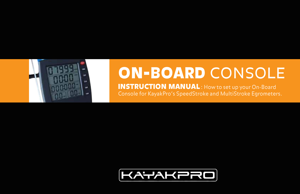

# **ON-BOARD CONSOLE**

**INSTRUCTION MANUAL:** How to set up your On-Board Console for KayakPro's SpeedStroke and MultiStroke Egrometers.

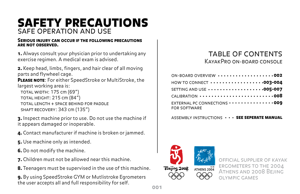## safety precautions safe operation and use

#### Serious injury can occur if the following precautions are not observed.

1. Always consult your physician prior to undertaking any exercise regimen. A medical exam is advised.

2. Keep head, limbs, fingers, and hair clear of all moving parts and flywheel cage.

PLEASE NOTE: For either SpeedStroke or MultiStroke, the largest working area is: total width: 175 cm (69") total height: 215 cm (84") total length + space behind for paddle shaft recovery: 343 cm (135")

**3.** Inspect machine prior to use. Do not use the machine if it appears damaged or inoperable.

4. Contact manufacturer if machine is broken or jammed.

- 5. Use machine only as intended.
- 6. Do not modify the machine.
- 7. Children must not be allowed near this machine.
- 8. Teenagers must be supervised in the use of this machine.

9. By using SpeedStroke GYM or Mutlistroke Egrometers the user accepts all and full responsibility for self.

#### table of contents KayakPro on-board console

| ON-BOARD OVERVIEW 002                                                            |
|----------------------------------------------------------------------------------|
| HOW TO CONNECT $\cdots \cdots \cdots \cdots \cdots \cdots$ 003-004               |
| SETTING AND USE 005-007                                                          |
| CALIBRATION ··························008                                        |
| EXTERNAL PC CONNECTIONS $\cdots \cdots \cdots \cdots \cdots$ 009<br>FOR SOFTWARE |

ASSEMBLY INSTRUCTIONS  $\,\boldsymbol{\cdot}\,\boldsymbol{\cdot}\,\boldsymbol{\cdot}\,$  see seperate manual



OFFICIAL SUPPLIER OF KAYAK ergometers to the 2004 Athens and 2008 Bejing olympic games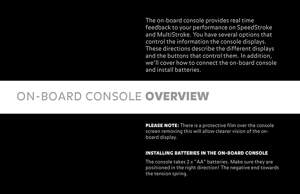The on-board console provides real time feedback to your performance on SpeedStroke and MultiStroke. You have several options that control the information the console displays. These directions describe the different displays and the buttons that control them. In addition, we'll cover how to connect the on-board console and install batteries.

## on-board console overview

PLEASE NOTE: There is a protective film over the console screen removing this will allow clearer vision of the onboard display.

#### installing batteries in the on-board console

The console takes 2 x "AA" batteries. Make sure they are positioned in the right direction! The negative end towards the tension spring.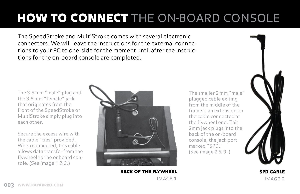# **HOW TO CONNECT** THE ON-BOARD CONSOLE

The SpeedStroke and MultiStroke comes with several electronic connectors. We will leave the instructions for the external connections to your PC to one-side for the moment until after the instructions for the on-board console are completed.

The 3.5 mm "male" plug and the 3.5 mm "female" jack that originates from the front of the SpeedStroke or MultiStroke simply plug into each other.

i sole. (See image 1 & 3.) Secure the excess wire with the cable "ties" provided. When connected, this cable allows data transfer from the flywheel to the onboard con-



BACK OF THE FLYWHEEL image 1

The smaller 2 mm "male" plugged cable exiting from the middle of the frame is an extension on the cable connected at the flywheel end. This 2mm jack plugs into the back of the on-board console, the jack port marked "SPD." (See image 2 & 3 .)



spd cable image 2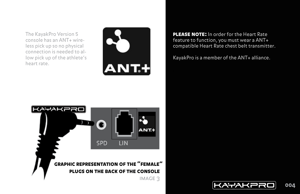The KayakPro Version 5 console has an ANT+ wireless pick up so no physical connection is needed to allow pick up of the athlete's heart rate.



**PLEASE NOTE:** In order for the Heart Rate feature to function, you must wear a ANT+ compatible Heart Rate chest belt transmitter.

KayakPro is a member of the ANT+ alliance.



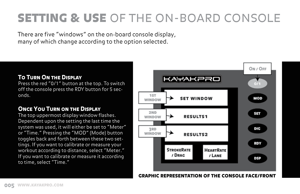## **SETTING & USE OF THE ON-BOARD CONSOLE**

There are five "windows" on the on-board console display, many of which change according to the option selected.

#### To Turn On the Display

Press the red "0/1" button at the top. To switch off the console press the RDY button for 5 seconds.

#### **ONCE YOU TURN ON THE DISPLAY**

The top uppermost display window flashes. Dependent upon the setting the last time the system was used, it will either be set to "Meter" or "Time." Pressing the "MOD" (Mode) button toggles back and forth between these two settings. If you want to calibrate or measure your workout according to distance, select "Meter." If you want to calibrate or measure it according to time, select "Time."



graphic representation of the console face/front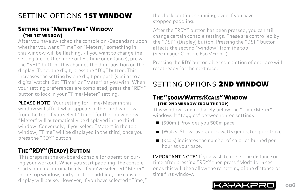## setting options 1st window

#### Setting the "Meter/Time" Window (the 1st window)

After you have switched the console on -Dependant upon whether you want "Time" or "Meters," something in this window will be flashing. -If you want to change the setting (i.e., either more or less time or distance), press the "SET" button. This changes the digit position on the display. To set the digit, press the "Dig" button. This increases the setting by one digit per push (similar to a digital watch). Set "Time" or "Meter" as you wish. When your setting preferences are completed, press the "RDY" button to lock in your "Time/Meter" setting.

PLEASE NOTE: Your setting for Time/Meter in this window will affect what appears in the third window from the top. If you select "Time" for the top window, "Meter" will automatically be displayed in the third window. Conversely, if you select "Meter" in the top window, "Time" will be displayed in the third, once you press the "RDY" button.

### The "RDY" (Ready) Button

This prepares the on-board console for operation during your workout. When you start paddling, the console starts running automatically. If you've selected "Meter" in the top window, and you stop paddling, the console display will pause. However, if you have selected "Time," the clock continues running, even if you have stopped paddling.

After the "RDY" button has been pressed, you can still change certain console settings. These are controlled by the "DSP" (Display) button. Pressing the "DSP" button affects the second "window" from the top. (See image: Console Face/Front.)

Pressing the RDY button after completion of one race will reset ready for the next race.

## setting options 2nd window

#### The "500m/Watts/Kcals" Window (the 2nd window from the top)

This window is immediately below the "Time/Meter" window. It "toggles" between three settings:

- (500m.) Provides you 500m pace
- (Watts) Shows average of watts generated per stroke.
- (Kcals) indicates the number of calories burned per hour at your pace.

**IMPORTANT NOTE:** If you wish to re-set the distance or time after pressing "RDY" then press "Mod" for 5 seconds this will then allow the re-setting of the distance or time first window.

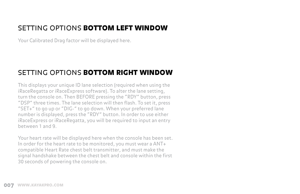### setting options bottom left window

Your Calibrated Drag factor will be displayed here.

### setting options bottom right window

This displays your unique ID lane selection (required when using the iRaceRegatta or iRaceExpress software). To alter the lane setting, turn the console on. Then BEFORE pressing the "RDY" button, press "DSP" three times. The lane selection will then flash. To set it, press "SET+" to go up or "DIG-" to go down. When your preferred lane number is displayed, press the "RDY" button. In order to use either iRaceExpress or iRaceRegatta, you will be required to input an entry between 1 and 9.

Your heart rate will be displayed here when the console has been set. In order for the heart rate to be monitored, you must wear a ANT+ compatible Heart Rate chest belt transmitter, and must make the signal handshake between the chest belt and console within the first 30 seconds of powering the console on.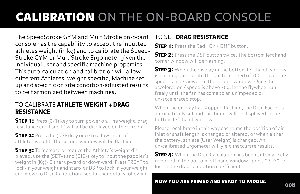## calibration on the on-board console

The SpeedStroke GYM and MultiStroke on-board console has the capability to accept the inputted athletes weight (in kg) and to calibrate the Speed-Stroke GYM or MultiStroke Ergometer given the individual user and specific machine properties. This auto-calculation and calibration will allow different Athletes' weight specific, Machine setup and specific on site condition-adjusted results to be harmonized between machines.

#### TO CALIBRATE ATHLETE WEIGHT + DRAG **RESISTANCE**

**STEP 1:** Press (0/1) key to turn power on. The weight, drag resistance and Lane ID will all be displayed on the screen.

**STEP 2:** Press the (DSP) key once to allow input of athletes weight. The second window will be flashing.

**STEP 3:** To increase or reduce the Athlete's weight displayed, use the (SET+) and (DIG-) key to input the paddler's weight in (Kg)- Either upward or downward. Press "RDY" to lock-in your weight and start- or DSP to lock in your weight and move to Drag Calibration- see further details following.

### TO SET DRAG RESISTANCE

**STEP 1:** Press the Red "On / Off" button.

**STEP 2:** Press the DSP button twice. The bottom left hand corner window will be flashing.

**STEP 3:** When the display in the bottom left hand window is flashing; accelerate the fan to a speed of 700 or over the speed can be viewed in the second window. Once the acceleration / speed is above 700, let the flywheel run freely until the fan has come to an unimpeded or un-accelerated stop.

When the display has stopped flashing, the Drag Factor is automatically set and this figure will be displayed in the bottom left hand window.

Please recalibrate in this way each time the position of air inlet or shaft length is changed or altered, or when either the battery, athlete (User Weight) is changed. An un-calibrated Ergometer will yield inaccurate results.

**STEP 4:** When the Drag Calculation has been automatically recorded in the bottom left hand window - press "RDY" to lock in the drag calibration coefficient.

### now you are primed and ready to paddle. <sup>008</sup>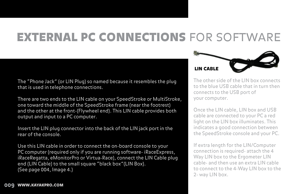## **EXTERNAL PC CONNECTIONS FOR SOFTWARE**

The "Phone Jack" (or LIN Plug) so named because it resembles the plug that is used in telephone connections.

There are two ends to the LIN cable on your SpeedStroke or MultiStroke, one toward the middle of the SpeedStroke frame (near the footrest) and the other at the front-(Flywheel end). This LIN cable provides both output and input to a PC computer.

Insert the LIN plug connector into the back of the LIN jack port in the rear of the console.

Use this LIN cable in order to connect the on-board console to your PC computer (required only if you are running software- iRaceExpress, iRaceRegatta, eMonitorPro or Virtua-Race), connect the LIN Cable plug end (LIN Cable) to the small square "black box"(LIN Box). (See page 004, Image 4.)



The other side of the LIN box connects to the blue USB cable that in turn then connects to the USB port of your computer.

Once the LIN cable, LIN box and USB cable are connected to your PC a red light on the LIN box illuminates. This indicates a good connection between the SpeedStroke console and your PC.

If extra length for the LIN/Computer connection is required- attach the 4 Way LIN box to the Ergometer LIN cable- and then use an extra LIN cable to connect to the 4-Way LIN box to the 2- way LIN box.